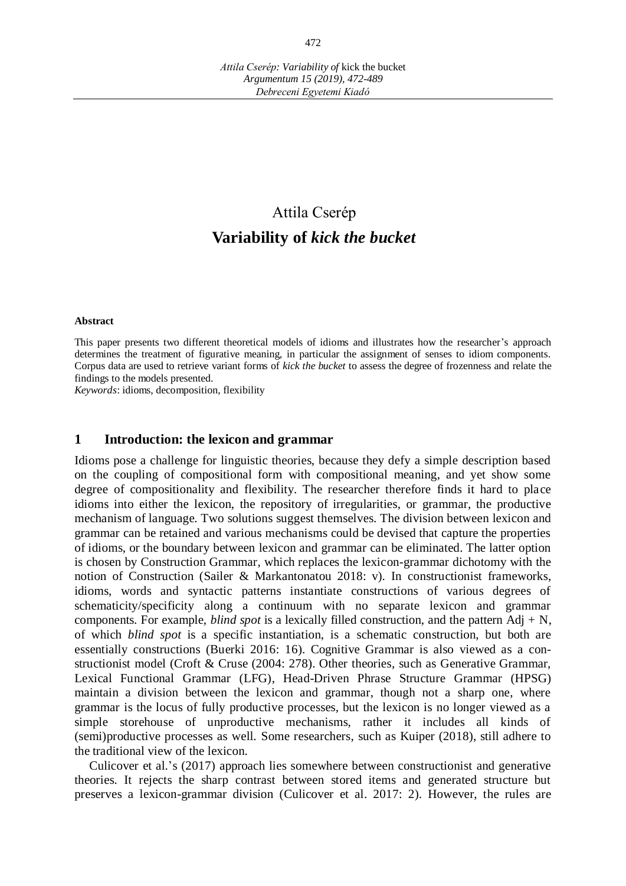# Attila Cserép **Variability of** *kick the bucket*

#### **Abstract**

This paper presents two different theoretical models of idioms and illustrates how the researcher's approach determines the treatment of figurative meaning, in particular the assignment of senses to idiom components. Corpus data are used to retrieve variant forms of *kick the bucket* to assess the degree of frozenness and relate the findings to the models presented.

*Keywords*: idioms, decomposition, flexibility

#### **1 Introduction: the lexicon and grammar**

Idioms pose a challenge for linguistic theories, because they defy a simple description based on the coupling of compositional form with compositional meaning, and yet show some degree of compositionality and flexibility. The researcher therefore finds it hard to place idioms into either the lexicon, the repository of irregularities, or grammar, the productive mechanism of language. Two solutions suggest themselves. The division between lexicon and grammar can be retained and various mechanisms could be devised that capture the properties of idioms, or the boundary between lexicon and grammar can be eliminated. The latter option is chosen by Construction Grammar, which replaces the lexicon-grammar dichotomy with the notion of Construction (Sailer & Markantonatou 2018: v). In constructionist frameworks, idioms, words and syntactic patterns instantiate constructions of various degrees of schematicity/specificity along a continuum with no separate lexicon and grammar components. For example, *blind spot* is a lexically filled construction, and the pattern Adj + N, of which *blind spot* is a specific instantiation, is a schematic construction, but both are essentially constructions (Buerki 2016: 16). Cognitive Grammar is also viewed as a constructionist model (Croft & Cruse (2004: 278). Other theories, such as Generative Grammar, Lexical Functional Grammar (LFG), Head-Driven Phrase Structure Grammar (HPSG) maintain a division between the lexicon and grammar, though not a sharp one, where grammar is the locus of fully productive processes, but the lexicon is no longer viewed as a simple storehouse of unproductive mechanisms, rather it includes all kinds of (semi)productive processes as well. Some researchers, such as Kuiper (2018), still adhere to the traditional view of the lexicon.

Culicover et al.'s (2017) approach lies somewhere between constructionist and generative theories. It rejects the sharp contrast between stored items and generated structure but preserves a lexicon-grammar division (Culicover et al. 2017: 2). However, the rules are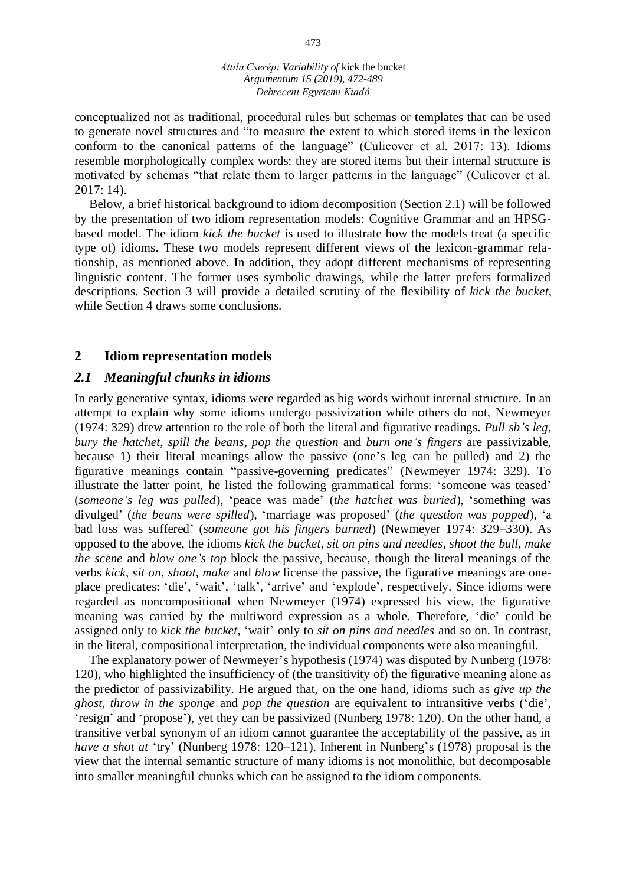conceptualized not as traditional, procedural rules but schemas or templates that can be used to generate novel structures and "to measure the extent to which stored items in the lexicon conform to the canonical patterns of the language" (Culicover et al. 2017: 13). Idioms resemble morphologically complex words: they are stored items but their internal structure is motivated by schemas "that relate them to larger patterns in the language" (Culicover et al. 2017: 14).

Below, a brief historical background to idiom decomposition (Section 2.1) will be followed by the presentation of two idiom representation models: Cognitive Grammar and an HPSGbased model. The idiom *kick the bucket* is used to illustrate how the models treat (a specific type of) idioms. These two models represent different views of the lexicon-grammar relationship, as mentioned above. In addition, they adopt different mechanisms of representing linguistic content. The former uses symbolic drawings, while the latter prefers formalized descriptions. Section 3 will provide a detailed scrutiny of the flexibility of *kick the bucket*, while Section 4 draws some conclusions.

## **2 Idiom representation models**

## *2.1 Meaningful chunks in idioms*

In early generative syntax, idioms were regarded as big words without internal structure. In an attempt to explain why some idioms undergo passivization while others do not, Newmeyer (1974: 329) drew attention to the role of both the literal and figurative readings. *Pull sb's leg*, *bury the hatchet*, *spill the beans*, *pop the question* and *burn one's fingers* are passivizable, because 1) their literal meanings allow the passive (one's leg can be pulled) and 2) the figurative meanings contain "passive-governing predicates" (Newmeyer 1974: 329). To illustrate the latter point, he listed the following grammatical forms: 'someone was teased' (*someone's leg was pulled*), 'peace was made' (*the hatchet was buried*), 'something was divulged' (*the beans were spilled*), 'marriage was proposed' (*the question was popped*), 'a bad loss was suffered' (*someone got his fingers burned*) (Newmeyer 1974: 329–330). As opposed to the above, the idioms *kick the bucket*, *sit on pins and needles*, *shoot the bull*, *make the scene* and *blow one's top* block the passive, because, though the literal meanings of the verbs *kick*, *sit on*, *shoot*, *make* and *blow* license the passive, the figurative meanings are oneplace predicates: 'die', 'wait', 'talk', 'arrive' and 'explode', respectively. Since idioms were regarded as noncompositional when Newmeyer (1974) expressed his view, the figurative meaning was carried by the multiword expression as a whole. Therefore, 'die' could be assigned only to *kick the bucket*, 'wait' only to *sit on pins and needles* and so on. In contrast, in the literal, compositional interpretation, the individual components were also meaningful.

The explanatory power of Newmeyer's hypothesis (1974) was disputed by Nunberg (1978: 120), who highlighted the insufficiency of (the transitivity of) the figurative meaning alone as the predictor of passivizability. He argued that, on the one hand, idioms such as *give up the ghost*, *throw in the sponge* and *pop the question* are equivalent to intransitive verbs ('die', 'resign' and 'propose'), yet they can be passivized (Nunberg 1978: 120). On the other hand, a transitive verbal synonym of an idiom cannot guarantee the acceptability of the passive, as in *have a shot at* 'try' (Nunberg 1978: 120–121). Inherent in Nunberg's (1978) proposal is the view that the internal semantic structure of many idioms is not monolithic, but decomposable into smaller meaningful chunks which can be assigned to the idiom components.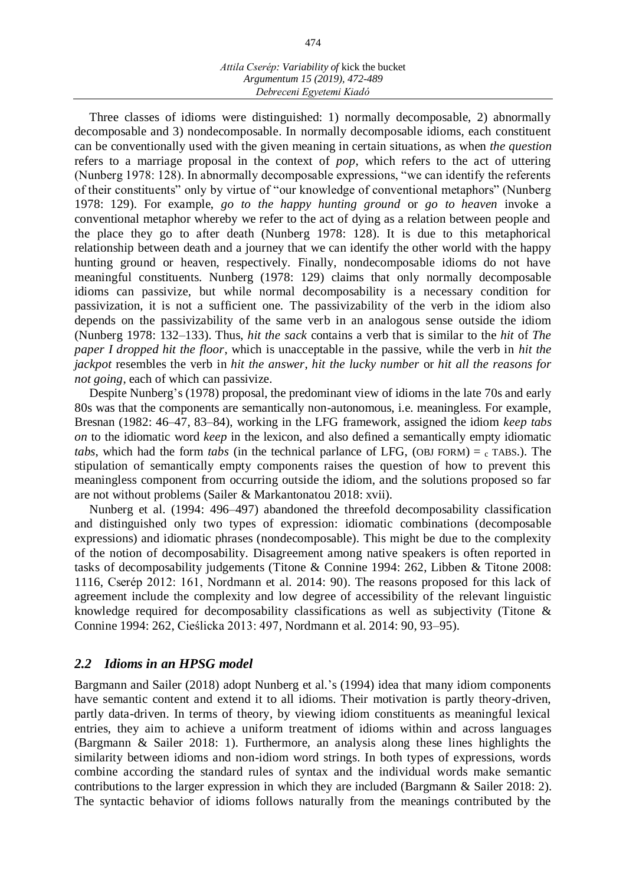#### *Attila Cserép: Variability of* kick the bucket *Argumentum 15 (2019), 472-489 Debreceni Egyetemi Kiadó*

Three classes of idioms were distinguished: 1) normally decomposable, 2) abnormally decomposable and 3) nondecomposable. In normally decomposable idioms, each constituent can be conventionally used with the given meaning in certain situations, as when *the question* refers to a marriage proposal in the context of *pop*, which refers to the act of uttering (Nunberg 1978: 128). In abnormally decomposable expressions, "we can identify the referents of their constituents" only by virtue of "our knowledge of conventional metaphors" (Nunberg 1978: 129). For example, *go to the happy hunting ground* or *go to heaven* invoke a conventional metaphor whereby we refer to the act of dying as a relation between people and the place they go to after death (Nunberg 1978: 128). It is due to this metaphorical relationship between death and a journey that we can identify the other world with the happy hunting ground or heaven, respectively. Finally, nondecomposable idioms do not have meaningful constituents. Nunberg (1978: 129) claims that only normally decomposable idioms can passivize, but while normal decomposability is a necessary condition for passivization, it is not a sufficient one. The passivizability of the verb in the idiom also depends on the passivizability of the same verb in an analogous sense outside the idiom (Nunberg 1978: 132–133). Thus, *hit the sack* contains a verb that is similar to the *hit* of *The paper I dropped hit the floor*, which is unacceptable in the passive, while the verb in *hit the jackpot* resembles the verb in *hit the answer*, *hit the lucky number* or *hit all the reasons for not going*, each of which can passivize.

Despite Nunberg's (1978) proposal, the predominant view of idioms in the late 70s and early 80s was that the components are semantically non-autonomous, i.e. meaningless. For example, Bresnan (1982: 46–47, 83–84), working in the LFG framework, assigned the idiom *keep tabs on* to the idiomatic word *keep* in the lexicon, and also defined a semantically empty idiomatic *tabs*, which had the form *tabs* (in the technical parlance of LFG, (OBJ FORM) =  $_c$  TABS.). The stipulation of semantically empty components raises the question of how to prevent this meaningless component from occurring outside the idiom, and the solutions proposed so far are not without problems (Sailer & Markantonatou 2018: xvii).

Nunberg et al. (1994: 496–497) abandoned the threefold decomposability classification and distinguished only two types of expression: idiomatic combinations (decomposable expressions) and idiomatic phrases (nondecomposable). This might be due to the complexity of the notion of decomposability. Disagreement among native speakers is often reported in tasks of decomposability judgements (Titone & Connine 1994: 262, Libben & Titone 2008: 1116, Cserép 2012: 161, Nordmann et al. 2014: 90). The reasons proposed for this lack of agreement include the complexity and low degree of accessibility of the relevant linguistic knowledge required for decomposability classifications as well as subjectivity (Titone & Connine 1994: 262, Cieślicka 2013: 497, Nordmann et al. 2014: 90, 93–95).

#### *2.2 Idioms in an HPSG model*

Bargmann and Sailer (2018) adopt Nunberg et al.'s (1994) idea that many idiom components have semantic content and extend it to all idioms. Their motivation is partly theory-driven, partly data-driven. In terms of theory, by viewing idiom constituents as meaningful lexical entries, they aim to achieve a uniform treatment of idioms within and across languages (Bargmann & Sailer 2018: 1). Furthermore, an analysis along these lines highlights the similarity between idioms and non-idiom word strings. In both types of expressions, words combine according the standard rules of syntax and the individual words make semantic contributions to the larger expression in which they are included (Bargmann & Sailer 2018: 2). The syntactic behavior of idioms follows naturally from the meanings contributed by the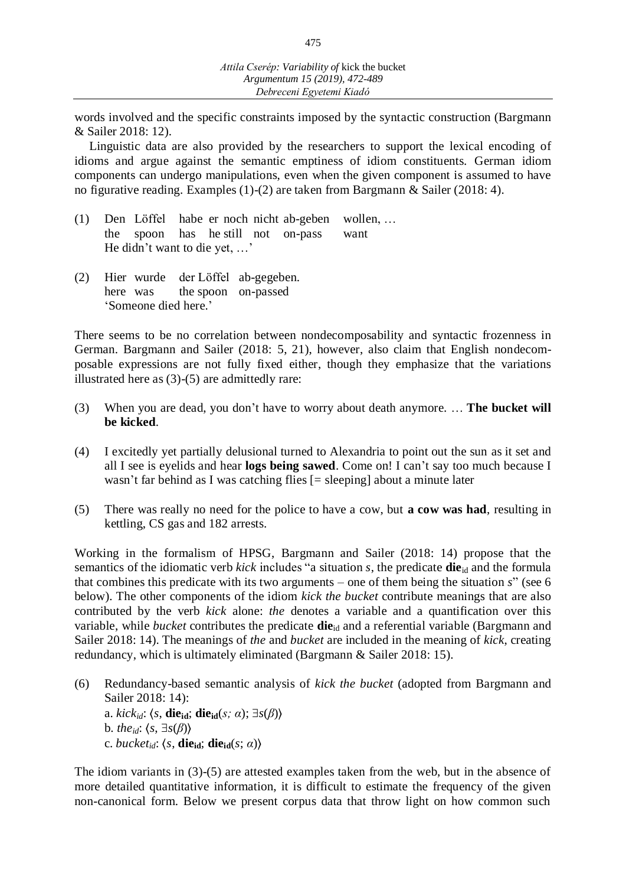words involved and the specific constraints imposed by the syntactic construction (Bargmann & Sailer 2018: 12).

Linguistic data are also provided by the researchers to support the lexical encoding of idioms and argue against the semantic emptiness of idiom constituents. German idiom components can undergo manipulations, even when the given component is assumed to have no figurative reading. Examples (1)-(2) are taken from Bargmann & Sailer (2018: 4).

- (1) Den Löffel habe er noch nicht ab-geben wollen, … the spoon has he still not on-pass want He didn't want to die yet, …'
- (2) Hier wurde der Löffel ab-gegeben. here was the spoon on-passed 'Someone died here.'

There seems to be no correlation between nondecomposability and syntactic frozenness in German. Bargmann and Sailer (2018: 5, 21), however, also claim that English nondecomposable expressions are not fully fixed either, though they emphasize that the variations illustrated here as (3)-(5) are admittedly rare:

- (3) When you are dead, you don't have to worry about death anymore. … **The bucket will be kicked**.
- (4) I excitedly yet partially delusional turned to Alexandria to point out the sun as it set and all I see is eyelids and hear **logs being sawed**. Come on! I can't say too much because I wasn't far behind as I was catching flies [= sleeping] about a minute later
- (5) There was really no need for the police to have a cow, but **a cow was had**, resulting in kettling, CS gas and 182 arrests.

Working in the formalism of HPSG, Bargmann and Sailer (2018: 14) propose that the semantics of the idiomatic verb *kick* includes "a situation *s*, the predicate **die**<sub>id</sub> and the formula that combines this predicate with its two arguments – one of them being the situation *s*" (see 6 below). The other components of the idiom *kick the bucket* contribute meanings that are also contributed by the verb *kick* alone: *the* denotes a variable and a quantification over this variable, while *bucket* contributes the predicate **die**id and a referential variable (Bargmann and Sailer 2018: 14). The meanings of *the* and *bucket* are included in the meaning of *kick*, creating redundancy, which is ultimately eliminated (Bargmann & Sailer 2018: 15).

(6) Redundancy-based semantic analysis of *kick the bucket* (adopted from Bargmann and Sailer 2018: 14): a.  $kick_{id}: \langle s, \textbf{die}_{id}; \textbf{die}_{id}(s; \alpha); \exists s(\beta) \rangle$ b. *the*<sub>id</sub>:  $\langle s, \exists s(\beta) \rangle$ c. *bucket<sub>id</sub>*:  $\langle s, \textbf{die}_{\textbf{id}}; \textbf{die}_{\textbf{id}}(s; \alpha) \rangle$ 

The idiom variants in (3)-(5) are attested examples taken from the web, but in the absence of more detailed quantitative information, it is difficult to estimate the frequency of the given non-canonical form. Below we present corpus data that throw light on how common such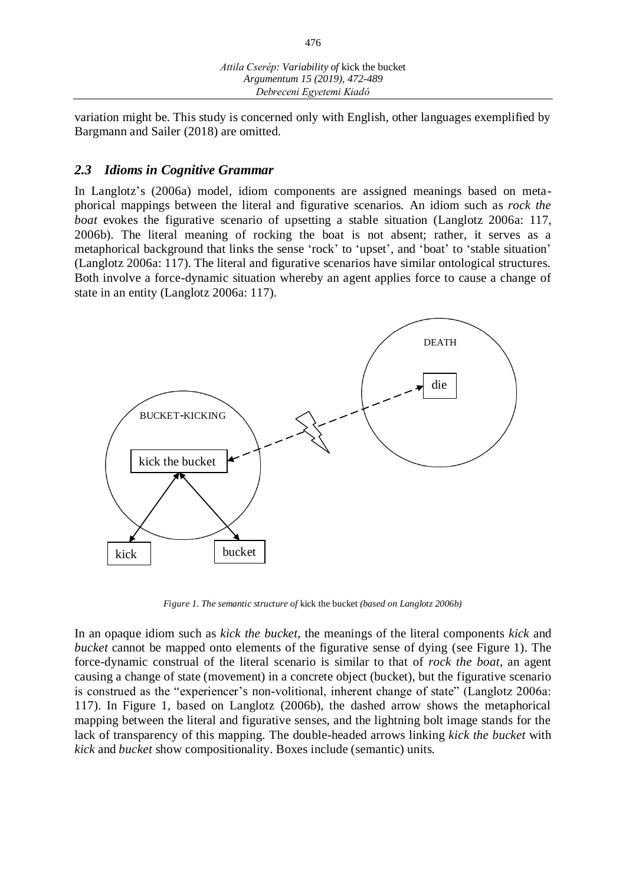variation might be. This study is concerned only with English, other languages exemplified by Bargmann and Sailer (2018) are omitted.

## *2.3 Idioms in Cognitive Grammar*

In Langlotz's (2006a) model, idiom components are assigned meanings based on metaphorical mappings between the literal and figurative scenarios. An idiom such as *rock the boat* evokes the figurative scenario of upsetting a stable situation (Langlotz 2006a: 117, 2006b). The literal meaning of rocking the boat is not absent; rather, it serves as a metaphorical background that links the sense 'rock' to 'upset', and 'boat' to 'stable situation' (Langlotz 2006a: 117). The literal and figurative scenarios have similar ontological structures. Both involve a force-dynamic situation whereby an agent applies force to cause a change of state in an entity (Langlotz 2006a: 117).



*Figure 1. The semantic structure of* kick the bucket *(based on Langlotz 2006b)*

In an opaque idiom such as *kick the bucket*, the meanings of the literal components *kick* and *bucket* cannot be mapped onto elements of the figurative sense of dying (see Figure 1). The force-dynamic construal of the literal scenario is similar to that of *rock the boat*, an agent causing a change of state (movement) in a concrete object (bucket), but the figurative scenario is construed as the "experiencer's non-volitional, inherent change of state" (Langlotz 2006a: 117). In Figure 1, based on Langlotz (2006b), the dashed arrow shows the metaphorical mapping between the literal and figurative senses, and the lightning bolt image stands for the lack of transparency of this mapping. The double-headed arrows linking *kick the bucket* with *kick* and *bucket* show compositionality. Boxes include (semantic) units.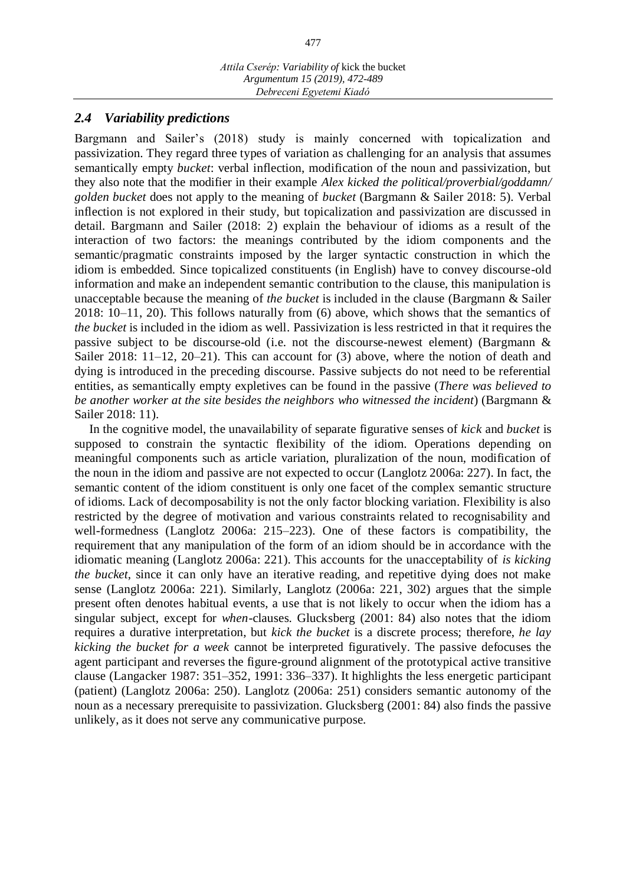#### *2.4 Variability predictions*

Bargmann and Sailer's (2018) study is mainly concerned with topicalization and passivization. They regard three types of variation as challenging for an analysis that assumes semantically empty *bucket*: verbal inflection, modification of the noun and passivization, but they also note that the modifier in their example *Alex kicked the political/proverbial/goddamn/ golden bucket* does not apply to the meaning of *bucket* (Bargmann & Sailer 2018: 5). Verbal inflection is not explored in their study, but topicalization and passivization are discussed in detail. Bargmann and Sailer (2018: 2) explain the behaviour of idioms as a result of the interaction of two factors: the meanings contributed by the idiom components and the semantic/pragmatic constraints imposed by the larger syntactic construction in which the idiom is embedded. Since topicalized constituents (in English) have to convey discourse-old information and make an independent semantic contribution to the clause, this manipulation is unacceptable because the meaning of *the bucket* is included in the clause (Bargmann & Sailer 2018: 10–11, 20). This follows naturally from (6) above, which shows that the semantics of *the bucket* is included in the idiom as well. Passivization is less restricted in that it requires the passive subject to be discourse-old (i.e. not the discourse-newest element) (Bargmann & Sailer 2018: 11–12, 20–21). This can account for (3) above, where the notion of death and dying is introduced in the preceding discourse. Passive subjects do not need to be referential entities, as semantically empty expletives can be found in the passive (*There was believed to be another worker at the site besides the neighbors who witnessed the incident*) (Bargmann & Sailer 2018: 11).

In the cognitive model, the unavailability of separate figurative senses of *kick* and *bucket* is supposed to constrain the syntactic flexibility of the idiom. Operations depending on meaningful components such as article variation, pluralization of the noun, modification of the noun in the idiom and passive are not expected to occur (Langlotz 2006a: 227). In fact, the semantic content of the idiom constituent is only one facet of the complex semantic structure of idioms. Lack of decomposability is not the only factor blocking variation. Flexibility is also restricted by the degree of motivation and various constraints related to recognisability and well-formedness (Langlotz 2006a: 215–223). One of these factors is compatibility, the requirement that any manipulation of the form of an idiom should be in accordance with the idiomatic meaning (Langlotz 2006a: 221). This accounts for the unacceptability of *is kicking the bucket*, since it can only have an iterative reading, and repetitive dying does not make sense (Langlotz 2006a: 221). Similarly, Langlotz (2006a: 221, 302) argues that the simple present often denotes habitual events, a use that is not likely to occur when the idiom has a singular subject, except for *when*-clauses. Glucksberg (2001: 84) also notes that the idiom requires a durative interpretation, but *kick the bucket* is a discrete process; therefore, *he lay kicking the bucket for a week* cannot be interpreted figuratively. The passive defocuses the agent participant and reverses the figure-ground alignment of the prototypical active transitive clause (Langacker 1987: 351–352, 1991: 336–337). It highlights the less energetic participant (patient) (Langlotz 2006a: 250). Langlotz (2006a: 251) considers semantic autonomy of the noun as a necessary prerequisite to passivization. Glucksberg (2001: 84) also finds the passive unlikely, as it does not serve any communicative purpose.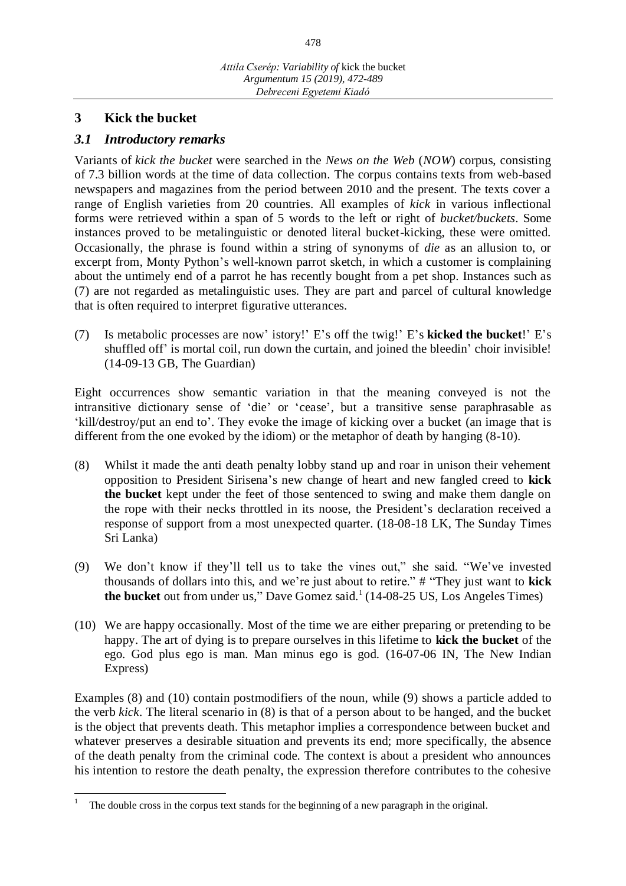## **3 Kick the bucket**

## *3.1 Introductory remarks*

Variants of *kick the bucket* were searched in the *News on the Web* (*NOW*) corpus, consisting of 7.3 billion words at the time of data collection. The corpus contains texts from web-based newspapers and magazines from the period between 2010 and the present. The texts cover a range of English varieties from 20 countries. All examples of *kick* in various inflectional forms were retrieved within a span of 5 words to the left or right of *bucket/buckets*. Some instances proved to be metalinguistic or denoted literal bucket-kicking, these were omitted. Occasionally, the phrase is found within a string of synonyms of *die* as an allusion to, or excerpt from, Monty Python's well-known parrot sketch, in which a customer is complaining about the untimely end of a parrot he has recently bought from a pet shop. Instances such as (7) are not regarded as metalinguistic uses. They are part and parcel of cultural knowledge that is often required to interpret figurative utterances.

(7) Is metabolic processes are now' istory!' E's off the twig!' E's **kicked the bucket**!' E's shuffled off' is mortal coil, run down the curtain, and joined the bleedin' choir invisible! (14-09-13 GB, The Guardian)

Eight occurrences show semantic variation in that the meaning conveyed is not the intransitive dictionary sense of 'die' or 'cease', but a transitive sense paraphrasable as 'kill/destroy/put an end to'. They evoke the image of kicking over a bucket (an image that is different from the one evoked by the idiom) or the metaphor of death by hanging (8-10).

- (8) Whilst it made the anti death penalty lobby stand up and roar in unison their vehement opposition to President Sirisena's new change of heart and new fangled creed to **kick the bucket** kept under the feet of those sentenced to swing and make them dangle on the rope with their necks throttled in its noose, the President's declaration received a response of support from a most unexpected quarter. (18-08-18 LK, The Sunday Times Sri Lanka)
- (9) We don't know if they'll tell us to take the vines out," she said. "We've invested thousands of dollars into this, and we're just about to retire." # "They just want to **kick the bucket** out from under us," Dave Gomez said.<sup>1</sup> (14-08-25 US, Los Angeles Times)
- (10) We are happy occasionally. Most of the time we are either preparing or pretending to be happy. The art of dying is to prepare ourselves in this lifetime to **kick the bucket** of the ego. God plus ego is man. Man minus ego is god. (16-07-06 IN, The New Indian Express)

Examples (8) and (10) contain postmodifiers of the noun, while (9) shows a particle added to the verb *kick*. The literal scenario in (8) is that of a person about to be hanged, and the bucket is the object that prevents death. This metaphor implies a correspondence between bucket and whatever preserves a desirable situation and prevents its end; more specifically, the absence of the death penalty from the criminal code. The context is about a president who announces his intention to restore the death penalty, the expression therefore contributes to the cohesive

 1 The double cross in the corpus text stands for the beginning of a new paragraph in the original.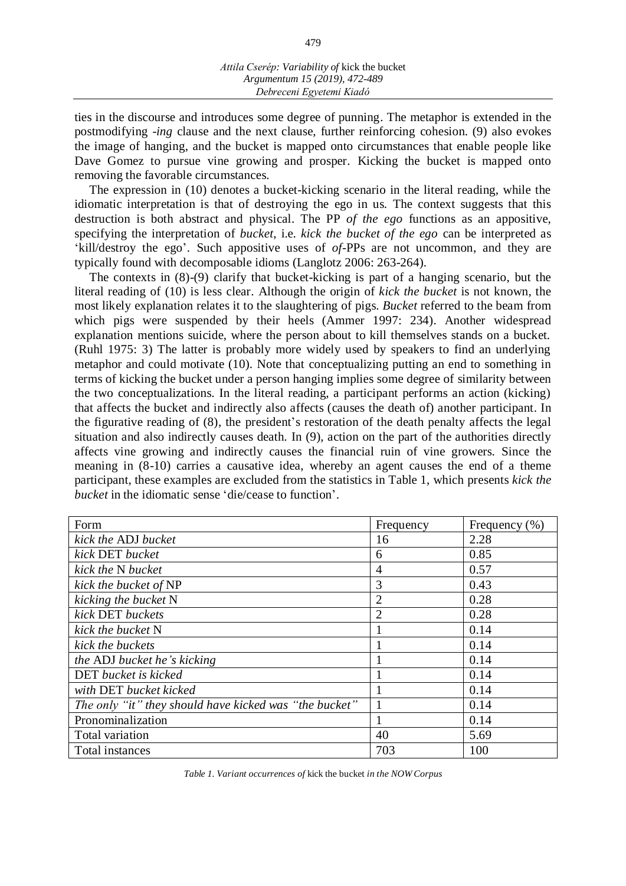ties in the discourse and introduces some degree of punning. The metaphor is extended in the postmodifying -*ing* clause and the next clause, further reinforcing cohesion. (9) also evokes the image of hanging, and the bucket is mapped onto circumstances that enable people like Dave Gomez to pursue vine growing and prosper. Kicking the bucket is mapped onto removing the favorable circumstances.

The expression in (10) denotes a bucket-kicking scenario in the literal reading, while the idiomatic interpretation is that of destroying the ego in us. The context suggests that this destruction is both abstract and physical. The PP *of the ego* functions as an appositive, specifying the interpretation of *bucket*, i.e. *kick the bucket of the ego* can be interpreted as 'kill/destroy the ego'. Such appositive uses of *of*-PPs are not uncommon, and they are typically found with decomposable idioms (Langlotz 2006: 263-264).

The contexts in (8)-(9) clarify that bucket-kicking is part of a hanging scenario, but the literal reading of (10) is less clear. Although the origin of *kick the bucket* is not known, the most likely explanation relates it to the slaughtering of pigs. *Bucket* referred to the beam from which pigs were suspended by their heels (Ammer 1997: 234). Another widespread explanation mentions suicide, where the person about to kill themselves stands on a bucket. (Ruhl 1975: 3) The latter is probably more widely used by speakers to find an underlying metaphor and could motivate (10). Note that conceptualizing putting an end to something in terms of kicking the bucket under a person hanging implies some degree of similarity between the two conceptualizations. In the literal reading, a participant performs an action (kicking) that affects the bucket and indirectly also affects (causes the death of) another participant. In the figurative reading of (8), the president's restoration of the death penalty affects the legal situation and also indirectly causes death. In (9), action on the part of the authorities directly affects vine growing and indirectly causes the financial ruin of vine growers. Since the meaning in (8-10) carries a causative idea, whereby an agent causes the end of a theme participant, these examples are excluded from the statistics in Table 1, which presents *kick the bucket* in the idiomatic sense 'die/cease to function'.

| Form                                                   | Frequency      | Frequency $(\% )$ |
|--------------------------------------------------------|----------------|-------------------|
| kick the ADJ bucket                                    | 16             | 2.28              |
| kick DET bucket                                        | 6              | 0.85              |
| kick the N bucket                                      | 4              | 0.57              |
| kick the bucket of NP                                  | 3              | 0.43              |
| kicking the bucket N                                   | $\overline{2}$ | 0.28              |
| kick DET buckets                                       | $\overline{2}$ | 0.28              |
| kick the bucket N                                      |                | 0.14              |
| kick the buckets                                       |                | 0.14              |
| the ADJ bucket he's kicking                            |                | 0.14              |
| <b>DET</b> bucket is kicked                            |                | 0.14              |
| with DET bucket kicked                                 |                | 0.14              |
| The only "it" they should have kicked was "the bucket" |                | 0.14              |
| Pronominalization                                      |                | 0.14              |
| Total variation                                        | 40             | 5.69              |
| Total instances                                        | 703            | 100               |

*Table 1. Variant occurrences of* kick the bucket *in the NOW Corpus*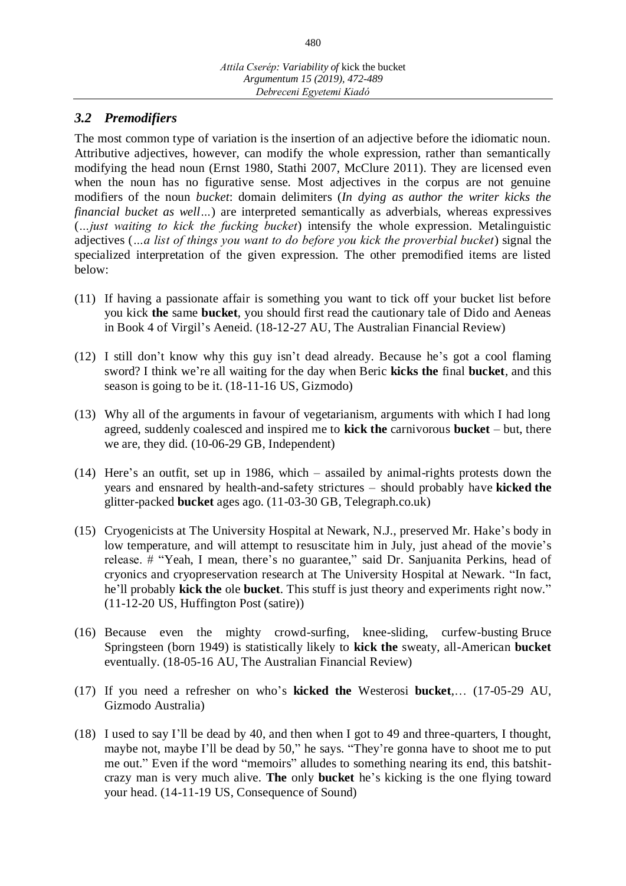# *3.2 Premodifiers*

The most common type of variation is the insertion of an adjective before the idiomatic noun. Attributive adjectives, however, can modify the whole expression, rather than semantically modifying the head noun (Ernst 1980, Stathi 2007, McClure 2011). They are licensed even when the noun has no figurative sense. Most adjectives in the corpus are not genuine modifiers of the noun *bucket*: domain delimiters (*In dying as author the writer kicks the financial bucket as well...*) are interpreted semantically as adverbials, whereas expressives (*…just waiting to kick the fucking bucket*) intensify the whole expression. Metalinguistic adjectives (*…a list of things you want to do before you kick the proverbial bucket*) signal the specialized interpretation of the given expression. The other premodified items are listed below:

- (11) If having a passionate affair is something you want to tick off your bucket list before you kick **the** same **bucket**, you should first read the cautionary tale of Dido and Aeneas in Book 4 of Virgil's Aeneid. (18-12-27 AU, The Australian Financial Review)
- (12) I still don't know why this guy isn't dead already. Because he's got a cool flaming sword? I think we're all waiting for the day when Beric **kicks the** final **bucket**, and this season is going to be it. (18-11-16 US, Gizmodo)
- (13) Why all of the arguments in favour of vegetarianism, arguments with which I had long agreed, suddenly coalesced and inspired me to **kick the** carnivorous **bucket** – but, there we are, they did. (10-06-29 GB, Independent)
- (14) Here's an outfit, set up in 1986, which assailed by animal-rights protests down the years and ensnared by health-and-safety strictures – should probably have **kicked the** glitter-packed **bucket** ages ago. (11-03-30 GB, Telegraph.co.uk)
- (15) Cryogenicists at The University Hospital at Newark, N.J., preserved Mr. Hake's body in low temperature, and will attempt to resuscitate him in July, just ahead of the movie's release. # "Yeah, I mean, there's no guarantee," said Dr. Sanjuanita Perkins, head of cryonics and cryopreservation research at The University Hospital at Newark. "In fact, he'll probably **kick the** ole **bucket**. This stuff is just theory and experiments right now." (11-12-20 US, Huffington Post (satire))
- (16) Because even the mighty crowd-surfing, knee-sliding, curfew-busting Bruce Springsteen (born 1949) is statistically likely to **kick the** sweaty, all-American **bucket** eventually. (18-05-16 AU, The Australian Financial Review)
- (17) If you need a refresher on who's **kicked the** Westerosi **bucket**,… (17-05-29 AU, Gizmodo Australia)
- (18) I used to say I'll be dead by 40, and then when I got to 49 and three-quarters, I thought, maybe not, maybe I'll be dead by 50," he says. "They're gonna have to shoot me to put me out." Even if the word "memoirs" alludes to something nearing its end, this batshitcrazy man is very much alive. **The** only **bucket** he's kicking is the one flying toward your head. (14-11-19 US, Consequence of Sound)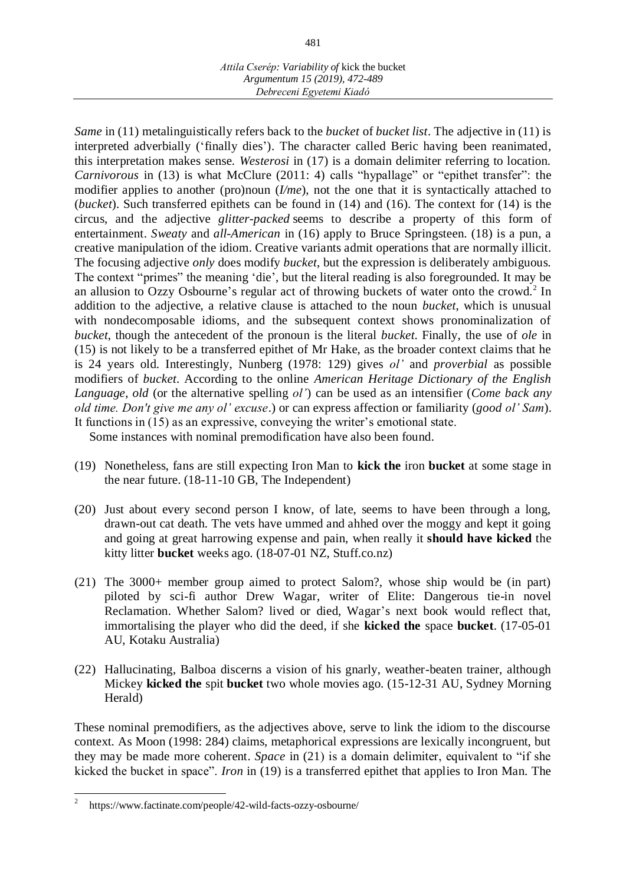*Same* in (11) metalinguistically refers back to the *bucket* of *bucket list*. The adjective in (11) is interpreted adverbially ('finally dies'). The character called Beric having been reanimated, this interpretation makes sense. *Westerosi* in (17) is a domain delimiter referring to location. *Carnivorous* in (13) is what McClure (2011: 4) calls "hypallage" or "epithet transfer": the modifier applies to another (pro)noun (*I/me*), not the one that it is syntactically attached to (*bucket*). Such transferred epithets can be found in (14) and (16). The context for (14) is the circus, and the adjective *glitter-packed* seems to describe a property of this form of entertainment. *Sweaty* and *all-American* in (16) apply to Bruce Springsteen. (18) is a pun, a creative manipulation of the idiom. Creative variants admit operations that are normally illicit. The focusing adjective *only* does modify *bucket*, but the expression is deliberately ambiguous. The context "primes" the meaning 'die', but the literal reading is also foregrounded. It may be an allusion to Ozzy Osbourne's regular act of throwing buckets of water onto the crowd.<sup>2</sup> In addition to the adjective, a relative clause is attached to the noun *bucket*, which is unusual with nondecomposable idioms, and the subsequent context shows pronominalization of *bucket*, though the antecedent of the pronoun is the literal *bucket*. Finally, the use of *ole* in (15) is not likely to be a transferred epithet of Mr Hake, as the broader context claims that he is 24 years old. Interestingly, Nunberg (1978: 129) gives *ol'* and *proverbial* as possible modifiers of *bucket*. According to the online *American Heritage Dictionary of the English Language*, *old* (or the alternative spelling *ol'*) can be used as an intensifier (*Come back any old time. Don't give me any ol' excuse*.) or can express affection or familiarity (*good ol' Sam*). It functions in (15) as an expressive, conveying the writer's emotional state.

Some instances with nominal premodification have also been found.

- (19) Nonetheless, fans are still expecting Iron Man to **kick the** iron **bucket** at some stage in the near future. (18-11-10 GB, The Independent)
- (20) Just about every second person I know, of late, seems to have been through a long, drawn-out cat death. The vets have ummed and ahhed over the moggy and kept it going and going at great harrowing expense and pain, when really it **should have kicked** the kitty litter **bucket** weeks ago. (18-07-01 NZ, Stuff.co.nz)
- (21) The 3000+ member group aimed to protect Salom?, whose ship would be (in part) piloted by sci-fi author Drew Wagar, writer of Elite: Dangerous tie-in novel Reclamation. Whether Salom? lived or died, Wagar's next book would reflect that, immortalising the player who did the deed, if she **kicked the** space **bucket**. (17-05-01 AU, Kotaku Australia)
- (22) Hallucinating, Balboa discerns a vision of his gnarly, weather-beaten trainer, although Mickey **kicked the** spit **bucket** two whole movies ago. (15-12-31 AU, Sydney Morning Herald)

These nominal premodifiers, as the adjectives above, serve to link the idiom to the discourse context. As Moon (1998: 284) claims, metaphorical expressions are lexically incongruent, but they may be made more coherent. *Space* in (21) is a domain delimiter, equivalent to "if she kicked the bucket in space". *Iron* in (19) is a transferred epithet that applies to Iron Man. The

 2 https://www.factinate.com/people/42-wild-facts-ozzy-osbourne/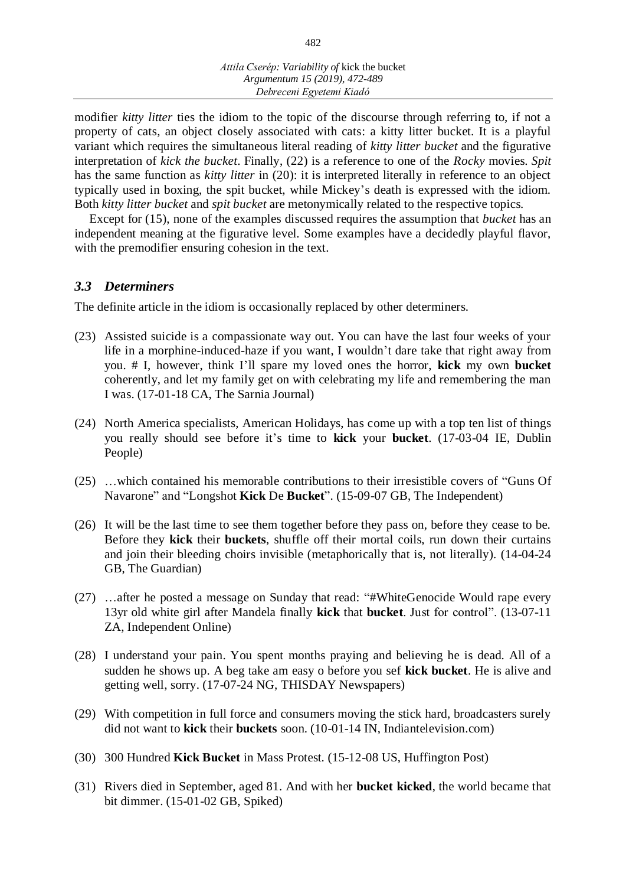modifier *kitty litter* ties the idiom to the topic of the discourse through referring to, if not a property of cats, an object closely associated with cats: a kitty litter bucket. It is a playful variant which requires the simultaneous literal reading of *kitty litter bucket* and the figurative interpretation of *kick the bucket*. Finally, (22) is a reference to one of the *Rocky* movies. *Spit* has the same function as *kitty litter* in (20): it is interpreted literally in reference to an object typically used in boxing, the spit bucket, while Mickey's death is expressed with the idiom. Both *kitty litter bucket* and *spit bucket* are metonymically related to the respective topics.

Except for (15), none of the examples discussed requires the assumption that *bucket* has an independent meaning at the figurative level. Some examples have a decidedly playful flavor, with the premodifier ensuring cohesion in the text.

## *3.3 Determiners*

The definite article in the idiom is occasionally replaced by other determiners.

- (23) Assisted suicide is a compassionate way out. You can have the last four weeks of your life in a morphine-induced-haze if you want, I wouldn't dare take that right away from you. # I, however, think I'll spare my loved ones the horror, **kick** my own **bucket** coherently, and let my family get on with celebrating my life and remembering the man I was. (17-01-18 CA, The Sarnia Journal)
- (24) North America specialists, American Holidays, has come up with a top ten list of things you really should see before it's time to **kick** your **bucket**. (17-03-04 IE, Dublin People)
- (25) …which contained his memorable contributions to their irresistible covers of "Guns Of Navarone" and "Longshot **Kick** De **Bucket**". (15-09-07 GB, The Independent)
- (26) It will be the last time to see them together before they pass on, before they cease to be. Before they **kick** their **buckets**, shuffle off their mortal coils, run down their curtains and join their bleeding choirs invisible (metaphorically that is, not literally). (14-04-24 GB, The Guardian)
- (27) …after he posted a message on Sunday that read: "#WhiteGenocide Would rape every 13yr old white girl after Mandela finally **kick** that **bucket**. Just for control". (13-07-11 ZA, Independent Online)
- (28) I understand your pain. You spent months praying and believing he is dead. All of a sudden he shows up. A beg take am easy o before you sef **kick bucket**. He is alive and getting well, sorry. (17-07-24 NG, THISDAY Newspapers)
- (29) With competition in full force and consumers moving the stick hard, broadcasters surely did not want to **kick** their **buckets** soon. (10-01-14 IN, Indiantelevision.com)
- (30) 300 Hundred **Kick Bucket** in Mass Protest. (15-12-08 US, Huffington Post)
- (31) Rivers died in September, aged 81. And with her **bucket kicked**, the world became that bit dimmer. (15-01-02 GB, Spiked)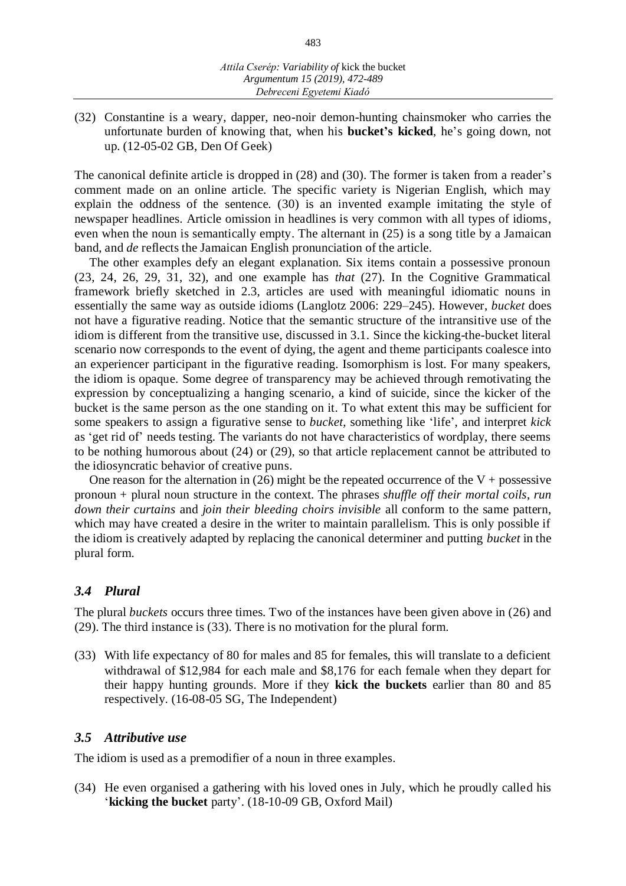(32) Constantine is a weary, dapper, neo-noir demon-hunting chainsmoker who carries the unfortunate burden of knowing that, when his **bucket's kicked**, he's going down, not up. (12-05-02 GB, Den Of Geek)

The canonical definite article is dropped in (28) and (30). The former is taken from a reader's comment made on an online article. The specific variety is Nigerian English, which may explain the oddness of the sentence. (30) is an invented example imitating the style of newspaper headlines. Article omission in headlines is very common with all types of idioms, even when the noun is semantically empty. The alternant in (25) is a song title by a Jamaican band, and *de* reflects the Jamaican English pronunciation of the article.

The other examples defy an elegant explanation. Six items contain a possessive pronoun (23, 24, 26, 29, 31, 32), and one example has *that* (27). In the Cognitive Grammatical framework briefly sketched in 2.3, articles are used with meaningful idiomatic nouns in essentially the same way as outside idioms (Langlotz 2006: 229–245). However, *bucket* does not have a figurative reading. Notice that the semantic structure of the intransitive use of the idiom is different from the transitive use, discussed in 3.1. Since the kicking-the-bucket literal scenario now corresponds to the event of dying, the agent and theme participants coalesce into an experiencer participant in the figurative reading. Isomorphism is lost. For many speakers, the idiom is opaque. Some degree of transparency may be achieved through remotivating the expression by conceptualizing a hanging scenario, a kind of suicide, since the kicker of the bucket is the same person as the one standing on it. To what extent this may be sufficient for some speakers to assign a figurative sense to *bucket*, something like 'life', and interpret *kick* as 'get rid of' needs testing. The variants do not have characteristics of wordplay, there seems to be nothing humorous about (24) or (29), so that article replacement cannot be attributed to the idiosyncratic behavior of creative puns.

One reason for the alternation in (26) might be the repeated occurrence of the  $V +$  possessive pronoun + plural noun structure in the context. The phrases *shuffle off their mortal coils*, *run down their curtains* and *join their bleeding choirs invisible* all conform to the same pattern, which may have created a desire in the writer to maintain parallelism. This is only possible if the idiom is creatively adapted by replacing the canonical determiner and putting *bucket* in the plural form.

# *3.4 Plural*

The plural *buckets* occurs three times. Two of the instances have been given above in (26) and (29). The third instance is (33). There is no motivation for the plural form.

(33) With life expectancy of 80 for males and 85 for females, this will translate to a deficient withdrawal of \$12,984 for each male and \$8,176 for each female when they depart for their happy hunting grounds. More if they **kick the buckets** earlier than 80 and 85 respectively. (16-08-05 SG, The Independent)

## *3.5 Attributive use*

The idiom is used as a premodifier of a noun in three examples.

(34) He even organised a gathering with his loved ones in July, which he proudly called his '**kicking the bucket** party'. (18-10-09 GB, Oxford Mail)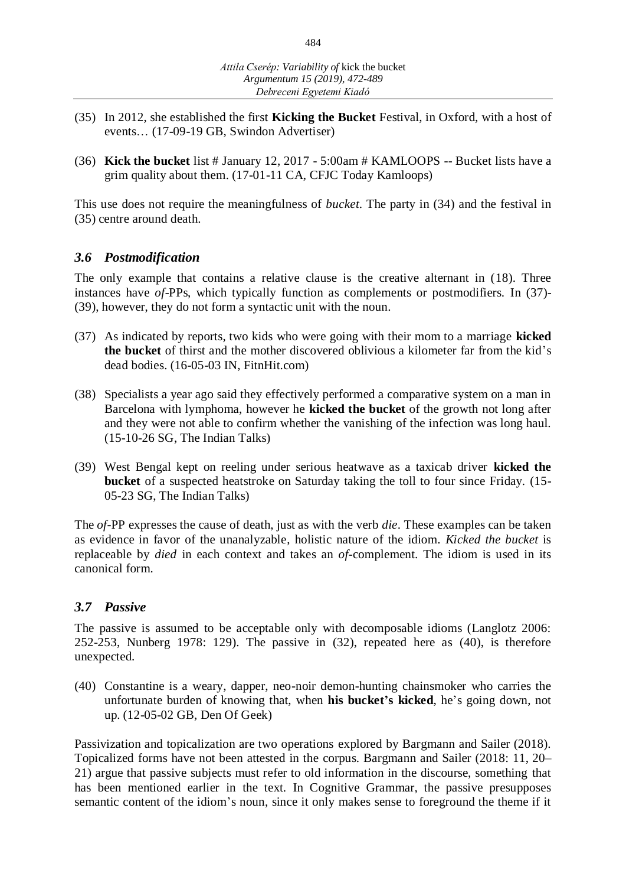- (35) In 2012, she established the first **Kicking the Bucket** Festival, in Oxford, with a host of events… (17-09-19 GB, Swindon Advertiser)
- (36) **Kick the bucket** list # January 12, 2017 5:00am # KAMLOOPS -- Bucket lists have a grim quality about them. (17-01-11 CA, CFJC Today Kamloops)

This use does not require the meaningfulness of *bucket*. The party in (34) and the festival in (35) centre around death.

#### *3.6 Postmodification*

The only example that contains a relative clause is the creative alternant in (18). Three instances have *of*-PPs, which typically function as complements or postmodifiers. In (37)- (39), however, they do not form a syntactic unit with the noun.

- (37) As indicated by reports, two kids who were going with their mom to a marriage **kicked the bucket** of thirst and the mother discovered oblivious a kilometer far from the kid's dead bodies. (16-05-03 IN, FitnHit.com)
- (38) Specialists a year ago said they effectively performed a comparative system on a man in Barcelona with lymphoma, however he **kicked the bucket** of the growth not long after and they were not able to confirm whether the vanishing of the infection was long haul. (15-10-26 SG, The Indian Talks)
- (39) West Bengal kept on reeling under serious heatwave as a taxicab driver **kicked the bucket** of a suspected heatstroke on Saturday taking the toll to four since Friday. (15- 05-23 SG, The Indian Talks)

The *of*-PP expresses the cause of death, just as with the verb *die*. These examples can be taken as evidence in favor of the unanalyzable, holistic nature of the idiom. *Kicked the bucket* is replaceable by *died* in each context and takes an *of*-complement. The idiom is used in its canonical form.

## *3.7 Passive*

The passive is assumed to be acceptable only with decomposable idioms (Langlotz 2006: 252-253, Nunberg 1978: 129). The passive in (32), repeated here as (40), is therefore unexpected.

(40) Constantine is a weary, dapper, neo-noir demon-hunting chainsmoker who carries the unfortunate burden of knowing that, when **his bucket's kicked**, he's going down, not up. (12-05-02 GB, Den Of Geek)

Passivization and topicalization are two operations explored by Bargmann and Sailer (2018). Topicalized forms have not been attested in the corpus. Bargmann and Sailer (2018: 11, 20– 21) argue that passive subjects must refer to old information in the discourse, something that has been mentioned earlier in the text. In Cognitive Grammar, the passive presupposes semantic content of the idiom's noun, since it only makes sense to foreground the theme if it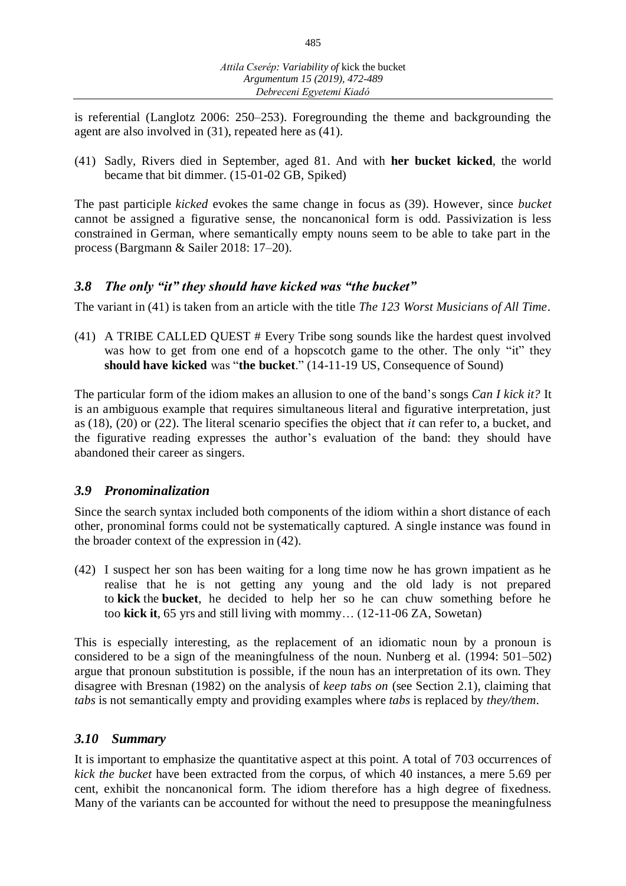is referential (Langlotz 2006: 250–253). Foregrounding the theme and backgrounding the agent are also involved in (31), repeated here as (41).

(41) Sadly, Rivers died in September, aged 81. And with **her bucket kicked**, the world became that bit dimmer. (15-01-02 GB, Spiked)

The past participle *kicked* evokes the same change in focus as (39). However, since *bucket* cannot be assigned a figurative sense, the noncanonical form is odd. Passivization is less constrained in German, where semantically empty nouns seem to be able to take part in the process (Bargmann & Sailer 2018: 17–20).

# *3.8 The only "it" they should have kicked was "the bucket"*

The variant in (41) is taken from an article with the title *The 123 Worst Musicians of All Time*.

(41) A TRIBE CALLED QUEST # Every Tribe song sounds like the hardest quest involved was how to get from one end of a hopscotch game to the other. The only "it" they **should have kicked** was "**the bucket**." (14-11-19 US, Consequence of Sound)

The particular form of the idiom makes an allusion to one of the band's songs *Can I kick it?* It is an ambiguous example that requires simultaneous literal and figurative interpretation, just as (18), (20) or (22). The literal scenario specifies the object that *it* can refer to, a bucket, and the figurative reading expresses the author's evaluation of the band: they should have abandoned their career as singers.

# *3.9 Pronominalization*

Since the search syntax included both components of the idiom within a short distance of each other, pronominal forms could not be systematically captured. A single instance was found in the broader context of the expression in (42).

(42) I suspect her son has been waiting for a long time now he has grown impatient as he realise that he is not getting any young and the old lady is not prepared to **kick** the **bucket**, he decided to help her so he can chuw something before he too **kick it**, 65 yrs and still living with mommy… (12-11-06 ZA, Sowetan)

This is especially interesting, as the replacement of an idiomatic noun by a pronoun is considered to be a sign of the meaningfulness of the noun. Nunberg et al. (1994: 501–502) argue that pronoun substitution is possible, if the noun has an interpretation of its own. They disagree with Bresnan (1982) on the analysis of *keep tabs on* (see Section 2.1), claiming that *tabs* is not semantically empty and providing examples where *tabs* is replaced by *they/them*.

## *3.10 Summary*

It is important to emphasize the quantitative aspect at this point. A total of 703 occurrences of *kick the bucket* have been extracted from the corpus, of which 40 instances, a mere 5.69 per cent, exhibit the noncanonical form. The idiom therefore has a high degree of fixedness. Many of the variants can be accounted for without the need to presuppose the meaningfulness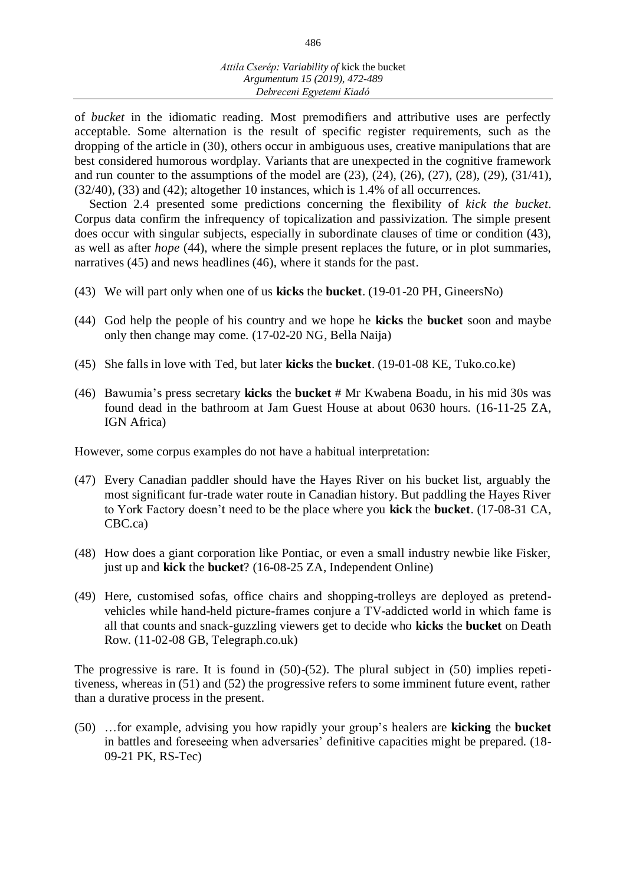of *bucket* in the idiomatic reading. Most premodifiers and attributive uses are perfectly acceptable. Some alternation is the result of specific register requirements, such as the dropping of the article in (30), others occur in ambiguous uses, creative manipulations that are best considered humorous wordplay. Variants that are unexpected in the cognitive framework and run counter to the assumptions of the model are (23), (24), (26), (27), (28), (29), (31/41), (32/40), (33) and (42); altogether 10 instances, which is 1.4% of all occurrences.

Section 2.4 presented some predictions concerning the flexibility of *kick the bucket*. Corpus data confirm the infrequency of topicalization and passivization. The simple present does occur with singular subjects, especially in subordinate clauses of time or condition (43), as well as after *hope* (44), where the simple present replaces the future, or in plot summaries, narratives (45) and news headlines (46), where it stands for the past.

- (43) We will part only when one of us **kicks** the **bucket**. (19-01-20 PH, GineersNo)
- (44) God help the people of his country and we hope he **kicks** the **bucket** soon and maybe only then change may come. (17-02-20 NG, Bella Naija)
- (45) She falls in love with Ted, but later **kicks** the **bucket**. (19-01-08 KE, Tuko.co.ke)
- (46) Bawumia's press secretary **kicks** the **bucket** # Mr Kwabena Boadu, in his mid 30s was found dead in the bathroom at Jam Guest House at about 0630 hours. (16-11-25 ZA, IGN Africa)

However, some corpus examples do not have a habitual interpretation:

- (47) Every Canadian paddler should have the Hayes River on his bucket list, arguably the most significant fur-trade water route in Canadian history. But paddling the Hayes River to York Factory doesn't need to be the place where you **kick** the **bucket**. (17-08-31 CA, CBC.ca)
- (48) How does a giant corporation like Pontiac, or even a small industry newbie like Fisker, just up and **kick** the **bucket**? (16-08-25 ZA, Independent Online)
- (49) Here, customised sofas, office chairs and shopping-trolleys are deployed as pretendvehicles while hand-held picture-frames conjure a TV-addicted world in which fame is all that counts and snack-guzzling viewers get to decide who **kicks** the **bucket** on Death Row. (11-02-08 GB, Telegraph.co.uk)

The progressive is rare. It is found in  $(50)-(52)$ . The plural subject in  $(50)$  implies repetitiveness, whereas in (51) and (52) the progressive refers to some imminent future event, rather than a durative process in the present.

(50) …for example, advising you how rapidly your group's healers are **kicking** the **bucket** in battles and foreseeing when adversaries' definitive capacities might be prepared. (18- 09-21 PK, RS-Tec)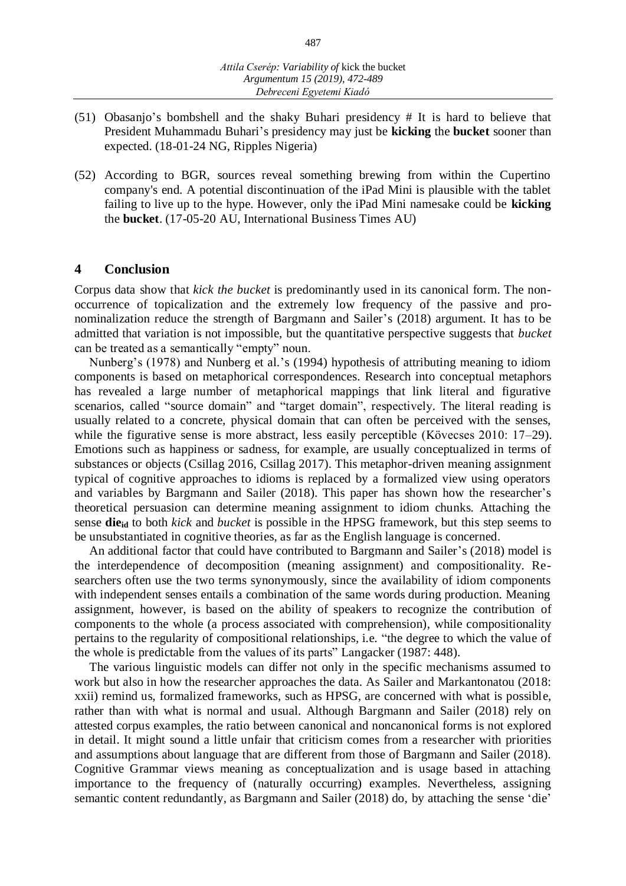- (51) Obasanjo's bombshell and the shaky Buhari presidency # It is hard to believe that President Muhammadu Buhari's presidency may just be **kicking** the **bucket** sooner than expected. (18-01-24 NG, Ripples Nigeria)
- (52) According to BGR, sources reveal something brewing from within the Cupertino company's end. A potential discontinuation of the iPad Mini is plausible with the tablet failing to live up to the hype. However, only the iPad Mini namesake could be **kicking** the **bucket**. (17-05-20 AU, International Business Times AU)

#### **4 Conclusion**

Corpus data show that *kick the bucket* is predominantly used in its canonical form. The nonoccurrence of topicalization and the extremely low frequency of the passive and pronominalization reduce the strength of Bargmann and Sailer's (2018) argument. It has to be admitted that variation is not impossible, but the quantitative perspective suggests that *bucket* can be treated as a semantically "empty" noun.

Nunberg's (1978) and Nunberg et al.'s (1994) hypothesis of attributing meaning to idiom components is based on metaphorical correspondences. Research into conceptual metaphors has revealed a large number of metaphorical mappings that link literal and figurative scenarios, called "source domain" and "target domain", respectively. The literal reading is usually related to a concrete, physical domain that can often be perceived with the senses, while the figurative sense is more abstract, less easily perceptible (Kövecses 2010: 17–29). Emotions such as happiness or sadness, for example, are usually conceptualized in terms of substances or objects (Csillag 2016, Csillag 2017). This metaphor-driven meaning assignment typical of cognitive approaches to idioms is replaced by a formalized view using operators and variables by Bargmann and Sailer (2018). This paper has shown how the researcher's theoretical persuasion can determine meaning assignment to idiom chunks. Attaching the sense **dieid** to both *kick* and *bucket* is possible in the HPSG framework, but this step seems to be unsubstantiated in cognitive theories, as far as the English language is concerned.

An additional factor that could have contributed to Bargmann and Sailer's (2018) model is the interdependence of decomposition (meaning assignment) and compositionality. Researchers often use the two terms synonymously, since the availability of idiom components with independent senses entails a combination of the same words during production. Meaning assignment, however, is based on the ability of speakers to recognize the contribution of components to the whole (a process associated with comprehension), while compositionality pertains to the regularity of compositional relationships, i.e. "the degree to which the value of the whole is predictable from the values of its parts" Langacker (1987: 448).

The various linguistic models can differ not only in the specific mechanisms assumed to work but also in how the researcher approaches the data. As Sailer and Markantonatou (2018: xxii) remind us, formalized frameworks, such as HPSG, are concerned with what is possible, rather than with what is normal and usual. Although Bargmann and Sailer (2018) rely on attested corpus examples, the ratio between canonical and noncanonical forms is not explored in detail. It might sound a little unfair that criticism comes from a researcher with priorities and assumptions about language that are different from those of Bargmann and Sailer (2018). Cognitive Grammar views meaning as conceptualization and is usage based in attaching importance to the frequency of (naturally occurring) examples. Nevertheless, assigning semantic content redundantly, as Bargmann and Sailer (2018) do, by attaching the sense 'die'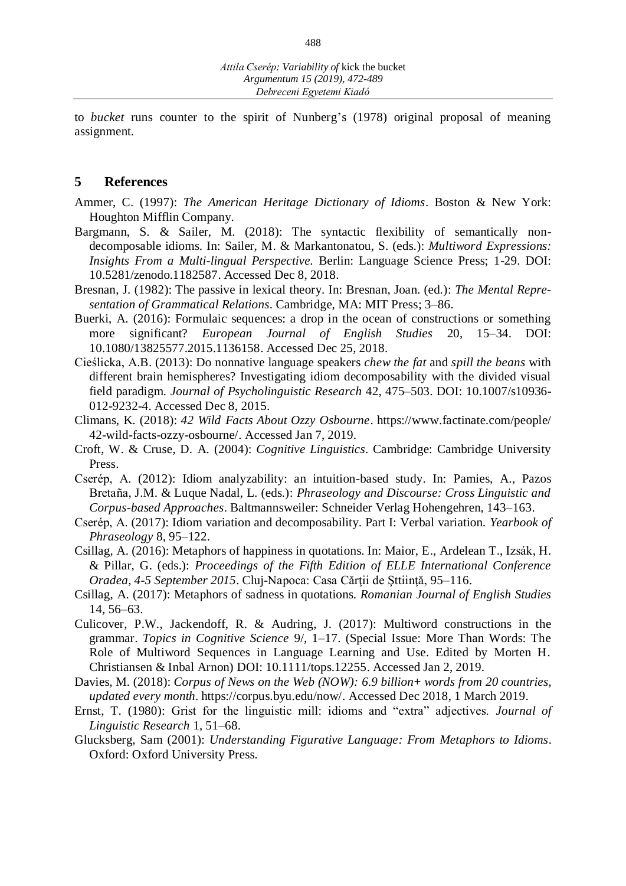to *bucket* runs counter to the spirit of Nunberg's (1978) original proposal of meaning assignment.

#### **5 References**

- Ammer, C. (1997): *The American Heritage Dictionary of Idioms*. Boston & New York: Houghton Mifflin Company.
- Bargmann, S. & Sailer, M. (2018): The syntactic flexibility of semantically nondecomposable idioms. In: Sailer, M. & Markantonatou, S. (eds.): *Multiword Expressions: Insights From a Multi-lingual Perspective.* Berlin: Language Science Press; 1-29. DOI: 10.5281/zenodo.1182587. Accessed Dec 8, 2018.
- Bresnan, J. (1982): The passive in lexical theory. In: Bresnan, Joan. (ed.): *The Mental Representation of Grammatical Relations*. Cambridge, MA: MIT Press; 3–86.
- Buerki, A. (2016): Formulaic sequences: a drop in the ocean of constructions or something more significant? *European Journal of English Studies* 20, 15–34. DOI: 10.1080/13825577.2015.1136158. Accessed Dec 25, 2018.
- Cieślicka, A.B. (2013): Do nonnative language speakers *chew the fat* and *spill the beans* with different brain hemispheres? Investigating idiom decomposability with the divided visual field paradigm. *Journal of Psycholinguistic Research* 42, 475–503. DOI: 10.1007/s10936- 012-9232-4. Accessed Dec 8, 2015.
- Climans, K. (2018): *42 Wild Facts About Ozzy Osbourne*. https://www.factinate.com/people/ 42-wild-facts-ozzy-osbourne/. Accessed Jan 7, 2019.
- Croft, W. & Cruse, D. A. (2004): *Cognitive Linguistics*. Cambridge: Cambridge University Press.
- Cserép, A. (2012): Idiom analyzability: an intuition-based study. In: Pamies, A., Pazos Bretaña, J.M. & Luque Nadal, L. (eds.): *Phraseology and Discourse: Cross Linguistic and Corpus-based Approaches*. Baltmannsweiler: Schneider Verlag Hohengehren, 143*–*163.
- Cserép, A. (2017): Idiom variation and decomposability. Part I: Verbal variation. *Yearbook of Phraseology* 8, 95*–*122.
- Csillag, A. (2016): Metaphors of happiness in quotations. In: Maior, E., Ardelean T., Izsák, H. & Pillar, G. (eds.): *Proceedings of the Fifth Edition of ELLE International Conference Oradea, 4-5 September 2015*. Cluj-Napoca: Casa Cărţii de Şttiinţă, 95–116.
- Csillag, A. (2017): Metaphors of sadness in quotations. *Romanian Journal of English Studies* 14, 56–63.
- Culicover, P.W., Jackendoff, R. & Audring, J. (2017): Multiword constructions in the grammar. *Topics in Cognitive Science* 9/, 1–17. (Special Issue: More Than Words: The Role of Multiword Sequences in Language Learning and Use. Edited by Morten H. Christiansen & Inbal Arnon) DOI: 10.1111/tops.12255. Accessed Jan 2, 2019.
- Davies, M. (2018): *Corpus of News on the Web (NOW): 6.9 billion+ words from 20 countries, updated every month*. https://corpus.byu.edu/now/. Accessed Dec 2018, 1 March 2019.
- Ernst, T. (1980): Grist for the linguistic mill: idioms and "extra" adjectives. *Journal of Linguistic Research* 1, 51–68.
- Glucksberg, Sam (2001): *Understanding Figurative Language: From Metaphors to Idioms*. Oxford: Oxford University Press.